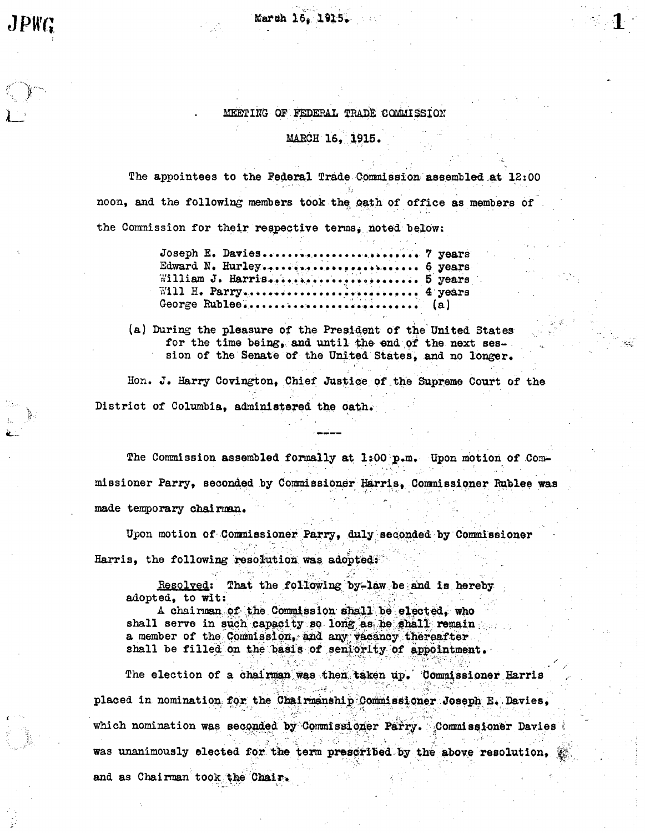March 15. 1915.

## MEETING OF FEDERAL TRADE COMMISSION

#### MARCH 16, 1915.

The appointees to the Federal Trade Commission assembled at 12:00 noon, and the following members took the oath of office as members of the Commission for their respective terms, noted below:

| Joseph E. Davies 7 years  |  |
|---------------------------|--|
| Edward N. Hurley 6 years  |  |
| William J. Harris 5 years |  |
| Will H. Parry 4 years     |  |
|                           |  |

(a) During the pleasure of the President of the United States for the time being, and until the end of the next session of the Senate of the United States, and no longer.

Hon. J. Harry Covington, Chief Justice of the Supreme Court of the District of Columbia, administered the oath.

The Commission assembled formally at 1:00 p.m. Upon motion of Commissioner Parry, seconded by Commissioner Harris, Commissioner Rublee was made temporary chairman.

Upon motion of Commissioner Parry, duly seconded by Commissioner Harris, the following resolution was adopted:

Resolved: That the following by-law be and is hereby adopted, to wit:

A chairman of the Commission shall be elected. who shall serve in such capacity so long as he shall remain a member of the Commission. and any vacancy thereafter shall be filled on the basis of seniority of appointment.

The election of a chairman was then taken up. Commissioner Harris placed in nomination for the Chairmanship Commissioner Joseph E. Davies, which nomination was seconded by Commissioner Parry. Commissioner Davies was unanimously elected for the term prescribed by the above resolution, and as Chairman took the Chair.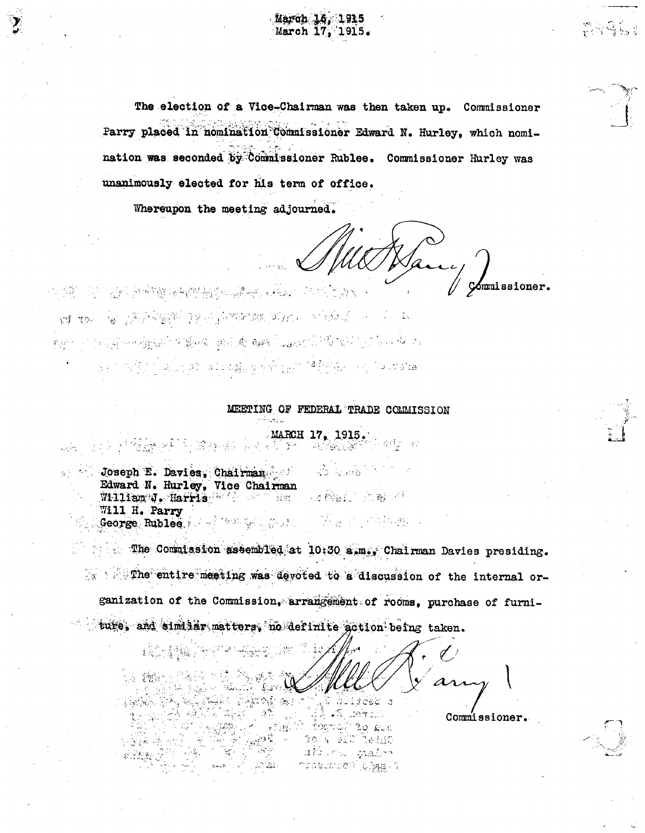The election of a Vice-Chairman was then taken up. Commissioner Parry placed in nomination Commissioner Edward N. Hurley, which nomination was seconded by Commissioner Rublee. Commissioner Hurley was unanimously elected for his term of office.

March 16, 1915 March 17, 1915.

Whereupon the meeting adjourned.

Cómmissioner.

APS 网络维护性传统系统 (Selection Completes ) KI KOY TEL LA ATERA TELEVISION ANNO PRODUCTION IN A The Four Second Second Property Adventure of the Property of the states

#### MEETING OF FEDERAL TRADE COMMISSION

#### $\frac{17}{2}$  MARCH 17, 1915. 그는 그 뒤집는 소리로 맞는다.  $\label{eq:4} \frac{1}{2} \left( \frac{1}{2} \sum_{i=1}^n \frac{1}{2} \sum_{j=1}^n \frac{1}{2} \sum_{j=1}^n \frac{1}{2} \sum_{j=1}^n \frac{1}{2} \sum_{j=1}^n \frac{1}{2} \sum_{j=1}^n \frac{1}{2} \sum_{j=1}^n \frac{1}{2} \sum_{j=1}^n \frac{1}{2} \sum_{j=1}^n \frac{1}{2} \sum_{j=1}^n \frac{1}{2} \sum_{j=1}^n \frac{1}{2} \sum_{j=1}^n \frac{1}{2} \sum_{j$ Joseph E. Davies, Chairman Communication Edward N. Hurley, Vice Chairman LORELLY STREET William J. Harris William Res Will H. Parry

The Commission assembled at 10:30 a.m., Chairman Davies presiding. w in The entire meeting was devoted to a discussion of the internal organization of the Commission, arrangement of rooms, purchase of furniture, and similar matters, no definite action being taken.

 $-7.96$ 

 $\mathcal{L}_{\mathcal{G}^{(q^t)}}(\vec{r})$ 

(高)·赫解 (1999) Lombard of Partie NE Nolsee s  $\frac{1}{2}$  ,  $\frac{1}{2}$  ,  $\frac{1}{2}$  ,  $\frac{1}{2}$  ,  $\frac{1}{2}$  ,  $\frac{1}{2}$ 

to gat

TO A BID TO HAD uPhorno grains freneumber? RAss (3 Commissioner.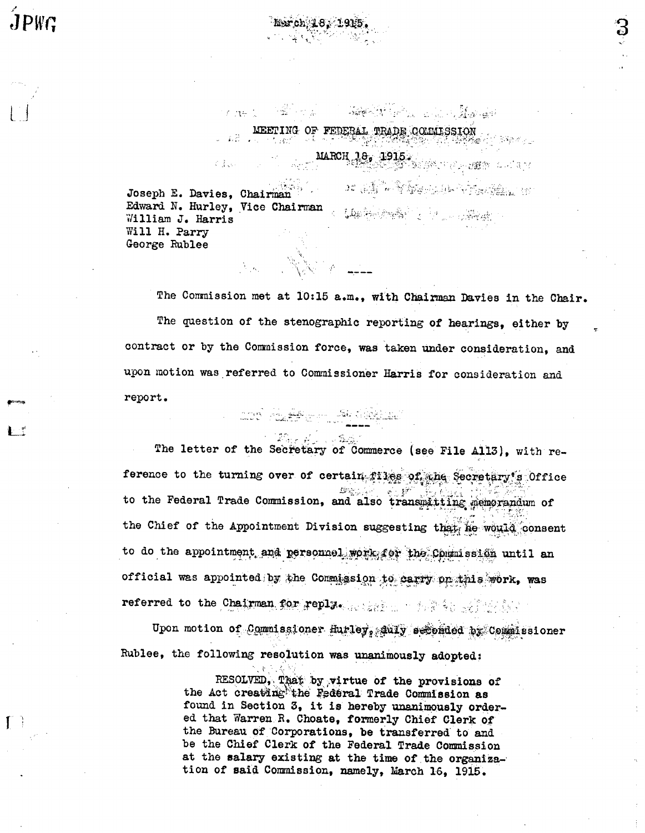$JPWC$ 

 $\sim 10^6$ Joseph E. Davies, Chairman Edward N. Hurley, Vice Chairman ( Laster States of Laster States) Will H. Parry George Rublee

Clara

ang pangalawan sa Kabupatèn Suma

 $\omega = \widetilde{K_1 \widetilde{K_2}} = \widetilde{\omega_{\widetilde{K_1 \widetilde{K_2}}} \times \widetilde{\omega_{\widetilde{K_1 \widetilde{K_2}}}}} \widetilde{\omega_{\widetilde{K_1 \widetilde{K_2}}}} = \omega_{\widetilde{K_1}}$ 

The Commission met at 10:15 a.m., with Chairman Davies in the Chair. The question of the stenographic reporting of hearings, either by contract or by the Commission force, was taken under consideration, and upon motion was referred to Commissioner Harris for consideration and report. and Algebra 19 1921

MEETING OF FEDERAL TRADE COMMISSION

DE SI LA PROPRIA PROVINCIA

March, 18, 1915

VAN RAMA LL

The letter of the Secretary of Commerce (see File All3), with reference to the turning over of certain files of the Secretary's Office 38分 to the Federal Trade Commission, and also transmitting memorandum of the Chief of the Appointment Division suggesting that, he would consent to do the appointment and personnel work for the Commission until an official was appointed by the Commission to carry prethis work, was referred to the Chairman for replacements of the services.

Upon motion of Commissioner Hurley, Auly seconded by Commissioner Rublee, the following resolution was unanimously adopted:

> RESOLVED, That by virtue of the provisions of the Act creating the Federal Trade Commission as found in Section 3, it is hereby unanimously ordered that Warren R. Choate, formerly Chief Clerk of the Bureau of Corporations, be transferred to and be the Chief Clerk of the Federal Trade Commission at the salary existing at the time of the organization of said Commission, namely, March 16, 1915.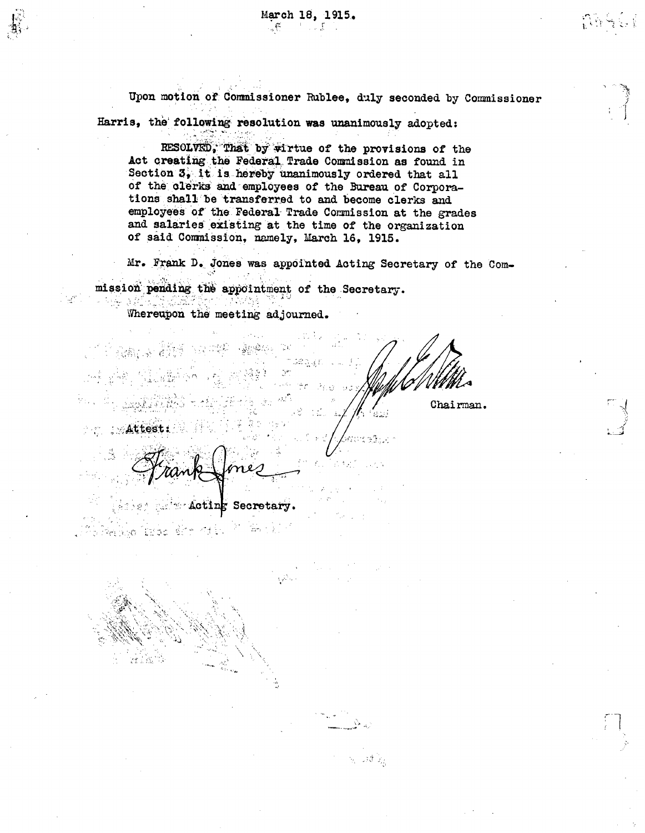Upon motion of Commissioner Rublee, duly seconded by Commissioner Harris, the following resolution was unanimously adopted:

RESOLVED, That by wirtue of the provisions of the Act creating the Federal Trade Commission as found in Section 3, it is hereby unanimously ordered that all of the clerks and employees of the Bureau of Corporations shall be transferred to and become clerks and employees of the Federal Trade Commission at the grades and salaries existing at the time of the organization of said Commission, namely, March 16, 1915.

Mr. Frank D. Jones was appointed Acting Secretary of the Commission pending the appointment of the Secretary.

 $\tau \rightarrow 3\; \tilde{\lambda}_{\rm R}$ 

Whereupon the meeting adjourned.

dar Nilah Chairman. Attest:

s Secretary. Actin

s Kerkyo (rubo šim vitr 축도 시위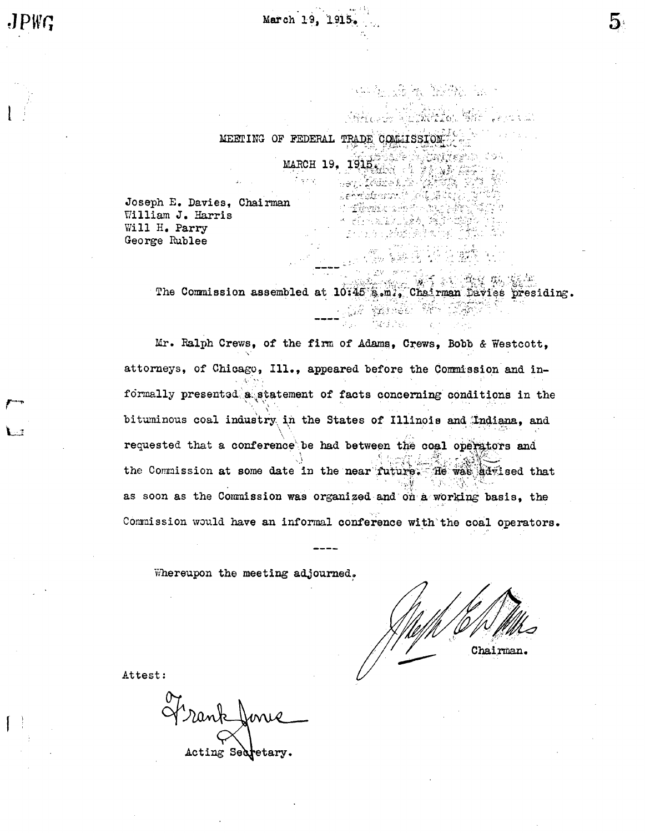of flowing and the

ARABA BAYA AT

Le<del>ctification</del> (1941)

**RACE THANK WE FORE** 

ling y fight

MARCH 19, THE SAN A PARTIES OF

Joseph E. Davies. Chairman William J. Harris Will H. Parry George Rublee

> The Commission assembled at 10:45 a.m., Chairman Pavies presiding. 红嘴雀蛾 爆件

Mr. Ralph Crews, of the firm of Adams, Crews, Bobb & Westcott, attorneys, of Chicago, Ill., appeared before the Commission and informally presented a statement of facts concerning conditions in the bituminous coal industry in the States of Illinois and Indiana, and requested that a conference be had between the coal operators and the Commission at some date in the near future. He was advised that as soon as the Commission was organized and on a working basis, the Commission would have an informal conference with the coal operators.

Whereupon the meeting adjourned.

Chairman.

Attest:

Frankfonie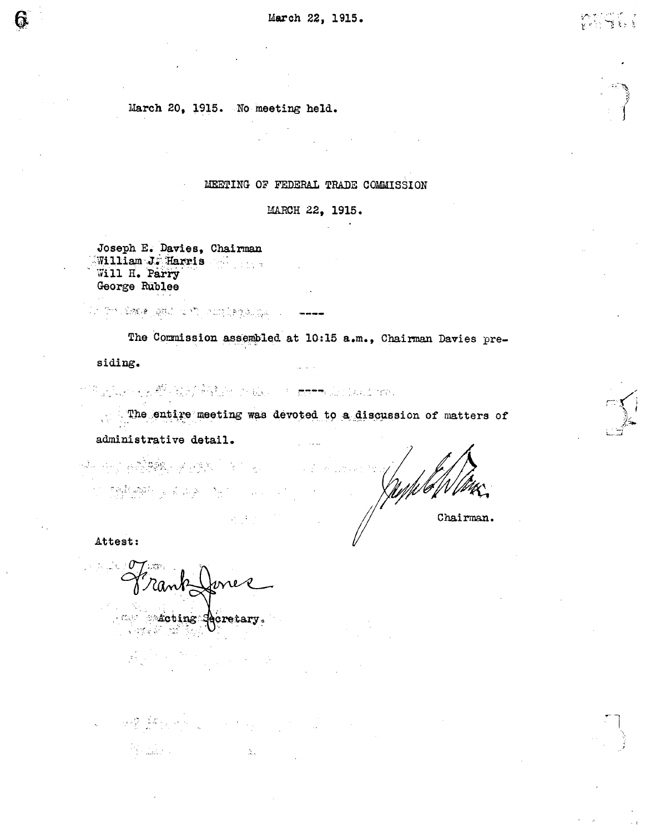March 20, 1915. No meeting held.

# MEETING OF FEDERAL TRADE COMMISSION

MARCH 22, 1915.

Joseph E. Davies, Chairman William J. Harris Will H. Parry George Rublee

in the back paid of the condegle paid of

The Commission assembled at 10:15 a.m., Chairman Davies pre-

siding.

การประมาณ ค.ศ. 2010 กล้าง<br>พ.ศ. 2010 - มีนาคม ค.ศ. 2010 - มีนาคม ค.ศ. 2010 - มีนาคม ค.ศ. 2010 - มีนาคม ค.ศ. 2010<br>พ.ศ. 2010 - มีนาคม ค.ศ. 2010 - มีนาคม ค.ศ. 2010 - มีนาคม ค.ศ. 2010 - มีนาคม ค.ศ. 2010 - มีนาคม ค.ศ. 2010 - มี

The entire meeting was devoted to a discussion of matters of

administrative detail.

24. 中国福建縣、建国第二十一月 的复数网络 医自由产于一种

Chairman.

Attest:

, a particle  $\sigma$ 

state state tinger ecretary

 $\label{eq:2.1} \mathcal{L}(\mathcal{L}) = \mathcal{L}(\mathcal{L}) \sum_{i=1}^n \sum_{j=1}^n \sum_{j=1}^n \mathcal{L}(\mathcal{L}_{\mathcal{L},\mathcal{L}}(\mathcal{L},\mathcal{L},\mathcal{L})) \mathcal{L}(\mathcal{L},\mathcal{L},\mathcal{L})$  $\Delta_{\rm X}$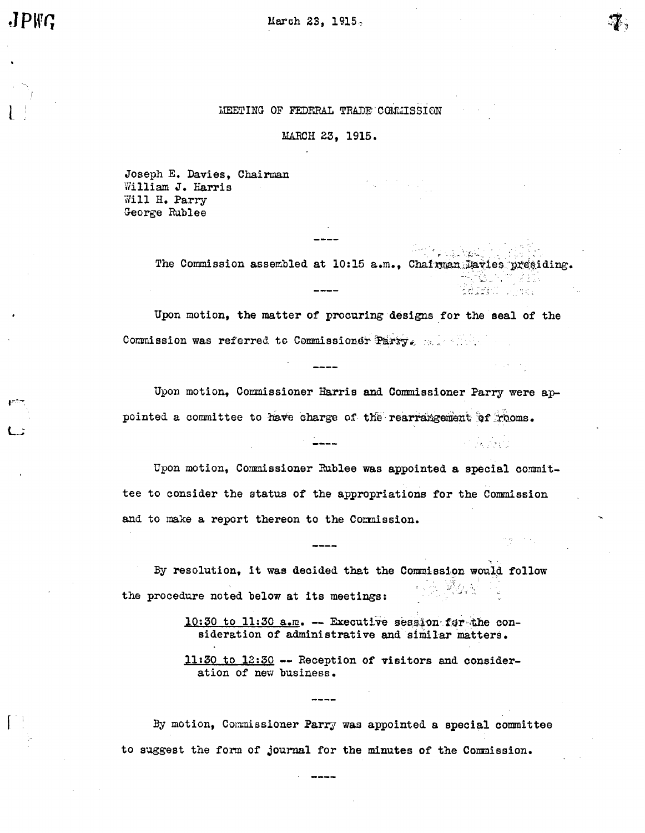JPWC

March 23, 1915.

# MEETING OF FEDERAL TRADE COMMISSION

MARCH 23, 1915.

Joseph E. Davies, Chai William J. Harris Will H. Parry George Rublee

> The Commission assembled at 10:15 a.m., Chairman Davies presiding. 平位/Vimes.

'férrit <sub>di</sub>ke.

an Perdero

Upon motion, the matter of procuring designs tor the seal of the Commission was referred to Commissioner  $\mathbb{P}$ arry. ...

Upon motion, Commissioner Harris and Commissioner Parry were appointed a committee to have charge of the rearrangement of rooms.

Upon motion, Commssioner Rublee was appointed a special oommittee to consider the status of the appropriations for the Commission and to make a report thereon to the Commission.

By resolution, it was decided that the Commission would follow the procedure noted below at its meetings:

10:30 to 11:30  $a.m.$  -- Executive session for the consideration of administrative and similar matters.

ll:30 to 12:30 -- Reception of visitors and consideration of new business.

By motion, Commissioner Parry was appointed a special committee to suggest the form of journal for the minutes of the Commission.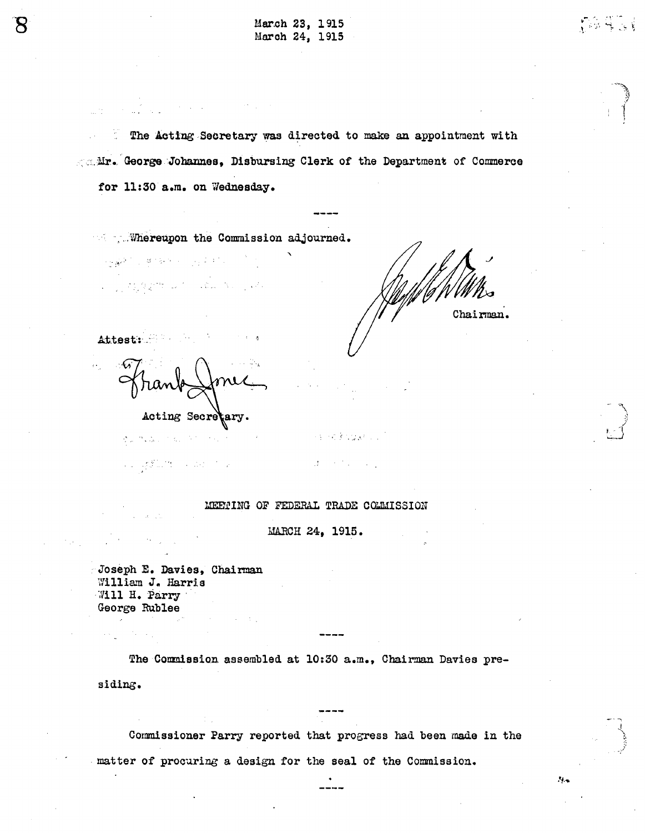| March 23, 1915 |  |
|----------------|--|
| March 24, 1915 |  |

The Acting Secretary was directed to make an appointment with Ar. George Johannes, Disbursing Clerk of the Department of Commerce for 11:30 a.m. on Wednesday.

Whereupon the Commission adjourned.

a na mga pinasa na sa sa sa sa sa

 $\label{eq:2.1} \lim_{\lambda\to\infty}\frac{1}{2\sqrt{\lambda}}\int_{0}^{2\pi} \left(\frac{1}{\lambda}\int_{0}^{2\pi} \frac{1}{\lambda}\int_{0}^{2\pi} \frac{1}{\lambda}\int_{0}^{2\pi} \frac{1}{\lambda}\int_{0}^{2\pi} \frac{1}{\lambda}\int_{0}^{2\pi} \frac{1}{\lambda}\int_{0}^{2\pi} \frac{1}{\lambda}\int_{0}^{2\pi} \frac{1}{\lambda}\int_{0}^{2\pi} \frac{1}{\lambda}\int_{0}^{2\pi} \frac{1}{\lambda}\int_{0}^{2\pi} \frac{1}{\lambda}\$ 

Chairman.

 $\mathcal{F}_{\mathcal{P},\mathcal{P}}$ 

Attest:

Acting Secretary.

あいたん アミンダウンド

a Laganith a debated

 $\sim M_{\odot}$  ,  $\sim 2.5$  km s  $^{-1}$ 

**の全てまたので、** 

## MEETING OF FEDERAL TRADE COLMISSION

MARCH 24, 1915.

Joseph E. Davies, Chairman William J. Harris Will H. Parry George Rublee

The Commission assembled at 10:30 a.m., Chairman Davies presiding.

Commissioner Parry reported that progress had been made in the matter of procuring a design for the seal of the Commission.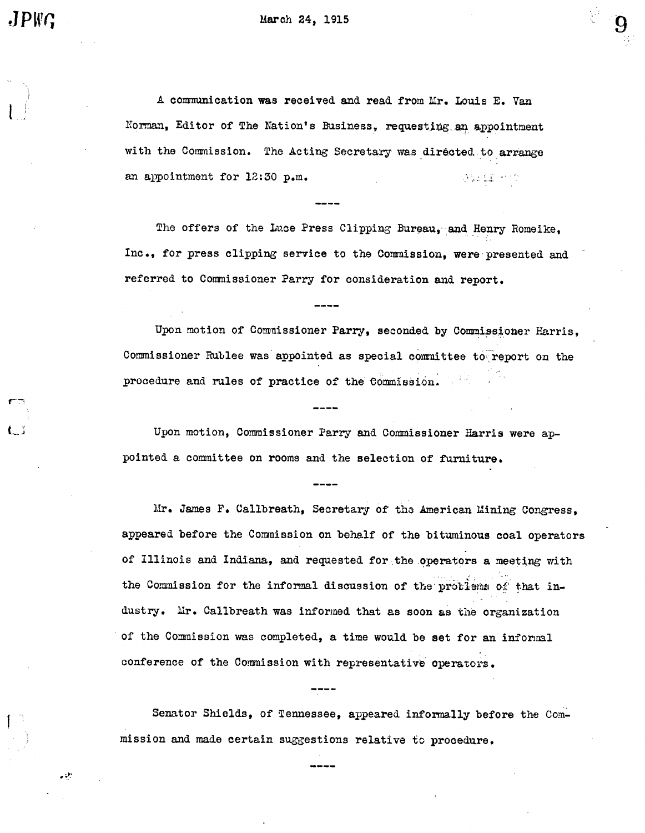March 24, 1915

A communication was received and read from Mr. Louis E. Van Norman, Editor of The Nation's Business, requesting an appointment with the Commission. The Acting Secretary was directed to arrange an appointment for 12:30 p.m. **PRIME +10** 

The offers of the Luce Press Clipping Bureau, and Henry Romeike, Inc., for press clipping service to the Commission. were presented and referred to Commissioner Parry for consideration and report.

Upon motion of Commissioner Parry, seconded by Commissioner Harris, Commissioner Rublee was appointed as special committee to report on the procedure and rules of practice of the Commission.

Upon motion, Commissioner Parry and Commissioner Harris were appointed a committee on rooms and the selection of furniture.

Mr. James F. Callbreath, Secretary of the American Mining Congress. appeared before the Commission on behalf of the bituminous coal operators of Illinois and Indiana, and requested for the operators a meeting with the Commission for the informal discussion of the problems of that industry. Mr. Callbreath was informed that as soon as the organization of the Commission was completed, a time would be set for an informal conference of the Commission with representative operators.

Senator Shields, of Tennessee, appeared informally before the Commission and made certain suggestions relative to procedure.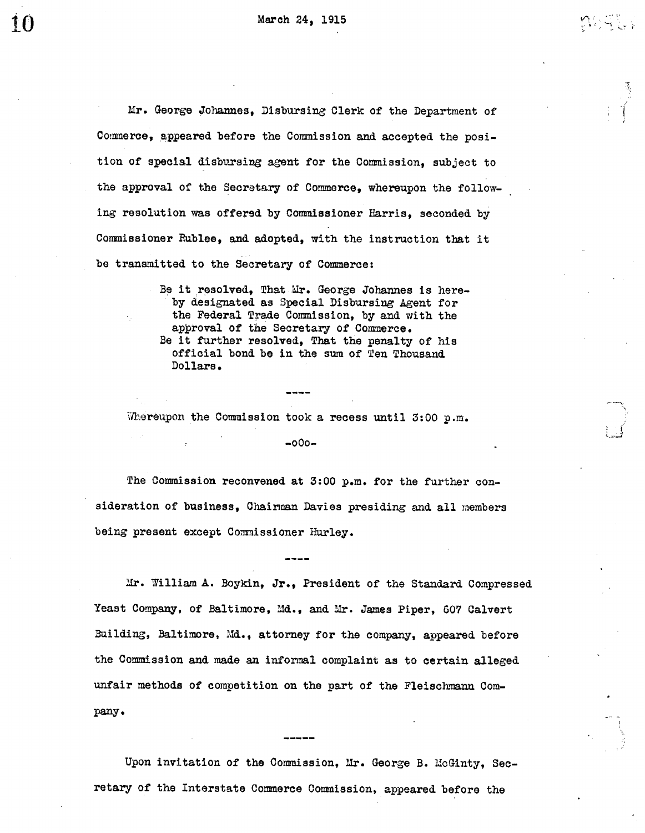Mr. George Johannes, Disbursing Clerk of the Department of

Ii;

Commerce, appeared before the Commission and accepted the position of special disbursing agent for the Commission, subject to the approval of the Secretary of Commerce, whereupon the following resolution was offered by Commissioner Harris, seconded by Conmissioner Rublee, and adopted, with the instruction that it be transmitted to the Secretary of Commerce:

> Be it resolved, That Mr. George Johannes is hereby designated as Special Disbursing Agent for the Federal Trade Commission, by and with the approval of the Secretary of Commerce. Be it further resolved, That the penalty of his official bond be in the sum of Ten Thousand Dollars.

Whereupon the Commission took a recess until 3:00 p.m.

 $-000-$ 

The Commission reconvened at 3:00 p.m. for the further consideration of business, Chairman Davies presiding and all members being present except Commissioner Hurley.

li. William A. Boykin, Jr., President of the Standard Compressed Yeast Company, of Baltimore, Md., and Mr. James Piper, 607 Calvert Building, Baltimore, Md., attorney for the company, appeared before the Commission and made an informal complaint as to certain alleged unfair methods of competition on the part of the Fleischmann Company.

Upon invitation of the Commission, Mr. George B. McGinty, Secretary of the Interstate Commerce Commission, appeared before the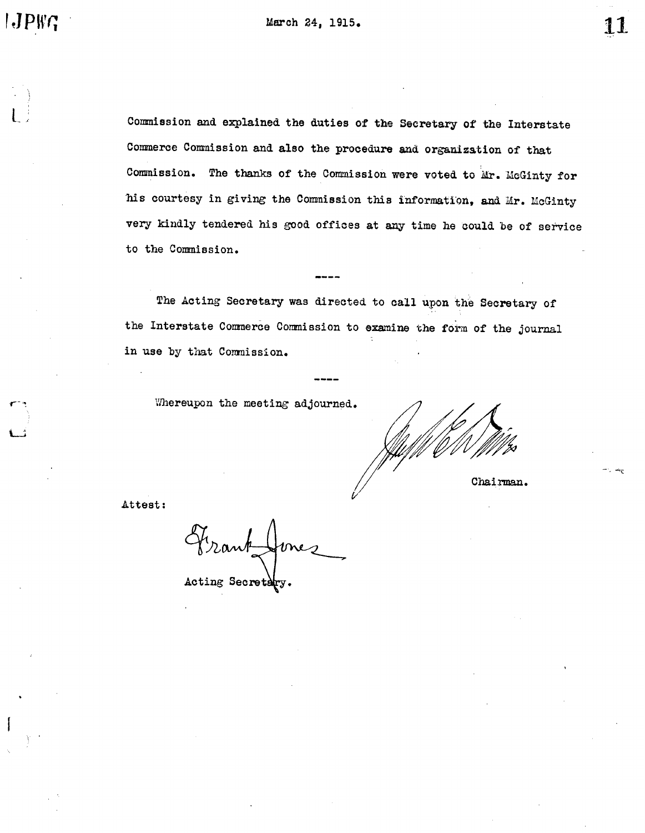Commission and explained the duties of the Secretary of the Interstate Commission. The thanks of the Commission were voted to Mr. McGinty for Commerce Commission and also the procedure and organization of that his courtesy in giving the Commission this information, and Mr. McGinty to the Commission. very kindly tendered his good offices at any time he could be of service

The Acting Secretary was directed to call upon the Secretary of the Interstate Commerce Commission to examine the form of the journal in use by that Commission.

Whereupon the meeting adjourned.

Chairman.

Attest:

 $\delta$ Acting Secretary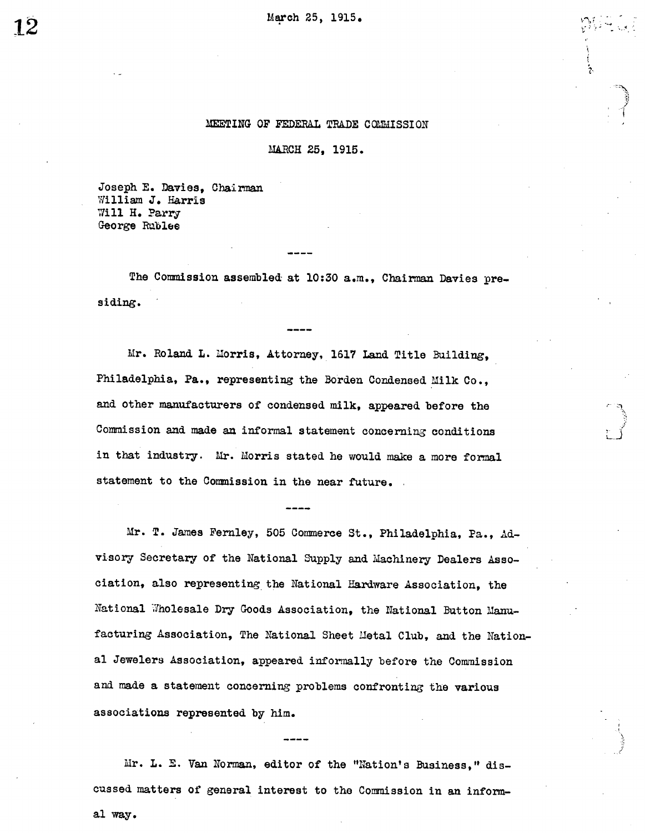MARCH 25, 1915.

Joseph E. Davies, Chairman William J. Harris Will H. Parry George Rublee

The Commission assembled at 10:30 a.m., Chairman Davies presiding.

Mr. Roland L. Morris, Attorney, 1617 Land Title Building. Philadelphia, Pa., representing the Borden Condensed Milk Co., and other manufacturers of condensed milk, appeared before the Commission and made an informal statement concerning conditions in that industry. Mr. Morris stated he would make a more formal statement to the Commission in the near future.

Mr. T. James Fernley, 505 Commerce St., Philadelphia, Pa., Advisory Secretary of the National Supply and Machinery Dealers Association, also representing the National Hardware Association, the National Wholesale Dry Goods Association, the National Button Manufacturing Association, The National Sheet Metal Club, and the National Jewelers Association, appeared informally before the Commission and made a statement concerning problems confronting the various associations represented by him.

Mr. L. E. Van Norman, editor of the "Nation's Business," discussed matters of general interest to the Commission in an informal way.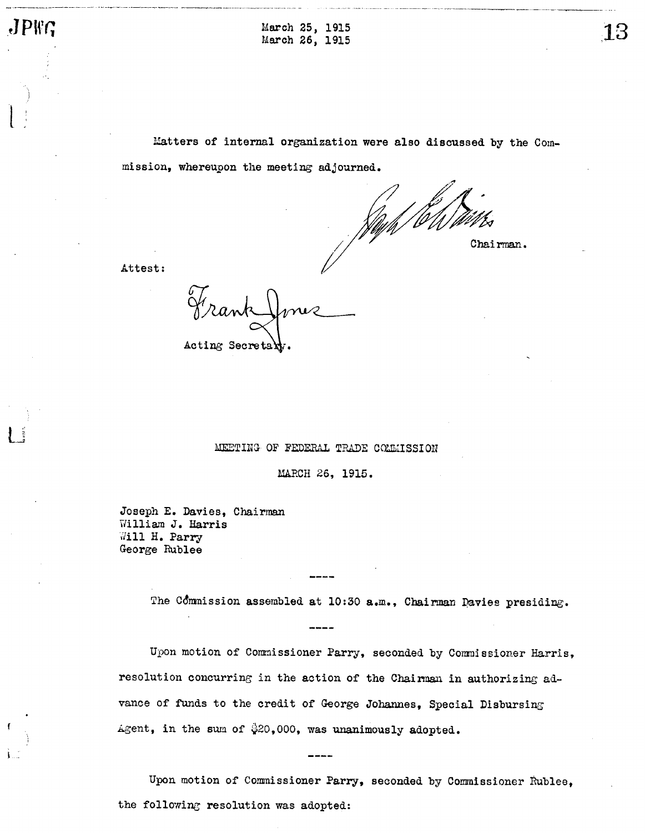$\mathsf{L}$  ,

 $JPI^c$  March 25, 1915 March 26, 1915

> Matters of internal organization were also discussed by the Commission, whereupon the meeting adjourned.

/f/t Chairman.

Attest:

Acting Secretary

## MEETING OF FEDERAL TRADE COMMISSION

MARCH 26, 1915.

Joseph E. Davies, Chairman illiam J. Harris Will H. Parry George Rublee

The Commission assembled at 10:30 a.m., Chairman Davies presiding.

Upon motion of Commissioner Parry, seconded by Commissioner Harris, resolution concurring in the action of the Chairman in authorizing advance of funds to the credit of George Johannes, Special Disbursing Agent, in the sum of  $$20,000$ , was unanimously adopted.

Upon motion of Commissioner Parry, seconded by Commissioner Rublee, the following resolution was adopted: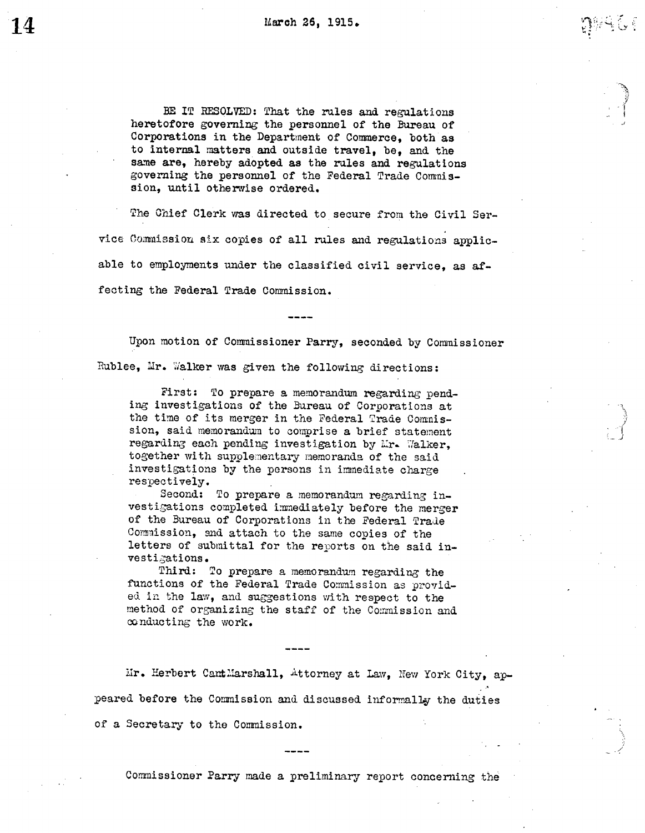BE IT RESOLVED: That the rules and regulations heretofore governing the personnel of the Bureau of Corporations in the Department of Commerce, both as to internal matters and outside travel, be, and the same are, hereby adopted as the rules and regulations governing the personnel of the Federal Trade Comnission, until otherwise ordered.

The Chief Clerk was directed to secure from the Civil Service Commission six copies of all rules and regulations applicable to employments under the classified civil service, as affecting the Federal Trade Commission.

Upon motion of Commissioner Parry, seconded by Commissioner Rublee, Mr. Walker was given the following directions:

First: To prepare a memorandum regarding pending investigations of the Bureau of Corporations at the time of its merger in the Federal Trade Comnission, said memorandum to comprise a brief statement regarding each pending investigation by Mr. Walker, together with supplementary memoranda of the said investigations by the persons in immediate charge respectively.

Second: To prepare a memorandum regarding investigations completed immediately before the merger of the Bureau of Corporations in the Federal Trade Commission, and attach to the same copies of the letters of submittal for the reports on the said investigations.

Third: To prepare a memorandum regarding the functions of the Federal Trade Commission as provided in the law, and suggestions with respect to the method of organizing the staff of the Commission and conducting the work.

Mr. Herbert CantMarshall, Attorney at Law, New York City, appeared before the Commission and discussed informally the duties of a Secretary to the Commission.

Commissioner Parry made a preliminary report concerning the

 $\ddot{}$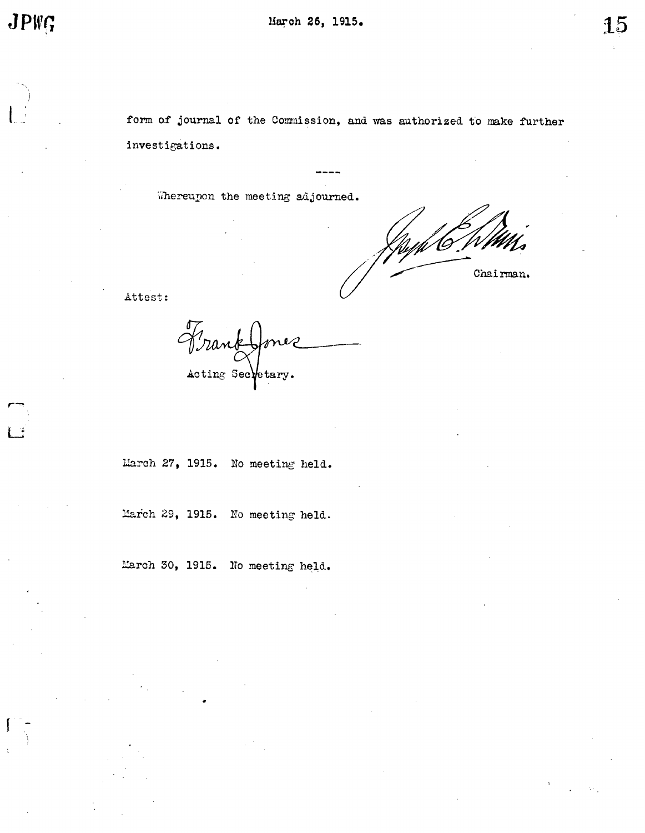form of journal of the Commission, and was authorized to make further investigations.

Whereupon the meeting adjourned.

Chairman.

Attest:

Frank Jonez<br>Arank Jonez

March 27, 1915. No meeting held.

March 29, 1915. No meeting held.

March 30, 1915. No meeting held.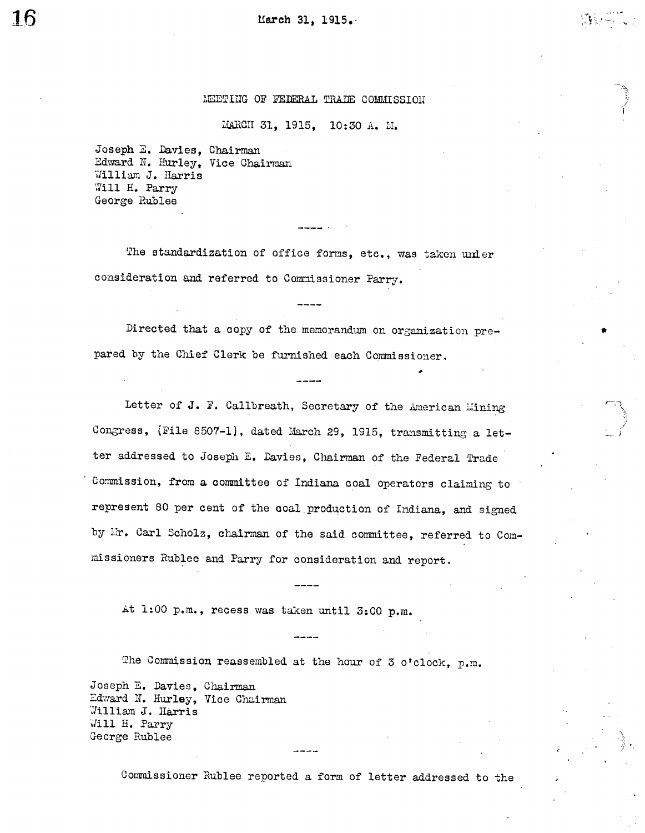MARCH 31, 1915, 10:30 A. M.

Joseph E. Davies, Chairman Edward N. Hurley, Vice Chairman William J. Harris Will H. Parry George Hublee

The standardization of office forms, etc., was taken under consideration and referred to Commissioner Parry.

Directed that a copy of the memorandum on organization prepared by the Chief Clerk be furnished each Commissioner.

Letter of J. F. Callbreath, Secretary of the American Mining Congress, (File 8507-1), dated March 29, 1915, transmitting a letter addressed to Joseph E. Davies, Chairman of the Federal Trade Commission, from a committee of Indiana coal operators claiming to represent 80 per cent of the coal production of Indiana, and signed by Mr. Carl Scholz, chairman of the said committee, referred to Commissioners Rublee and Parry for consideration and report.

At 1:00 p.m., recess was taken until 3:00 p.m.

The Commission reassembled at the hour of 3 o'clock,  $p.m.$ 

Joseph E. Davies, Chairman William J. Harris Will H. Parry George Rublee Edward N. Hurley, Vice Chairman

Commissioner Rublee reported a form of letter addressed to the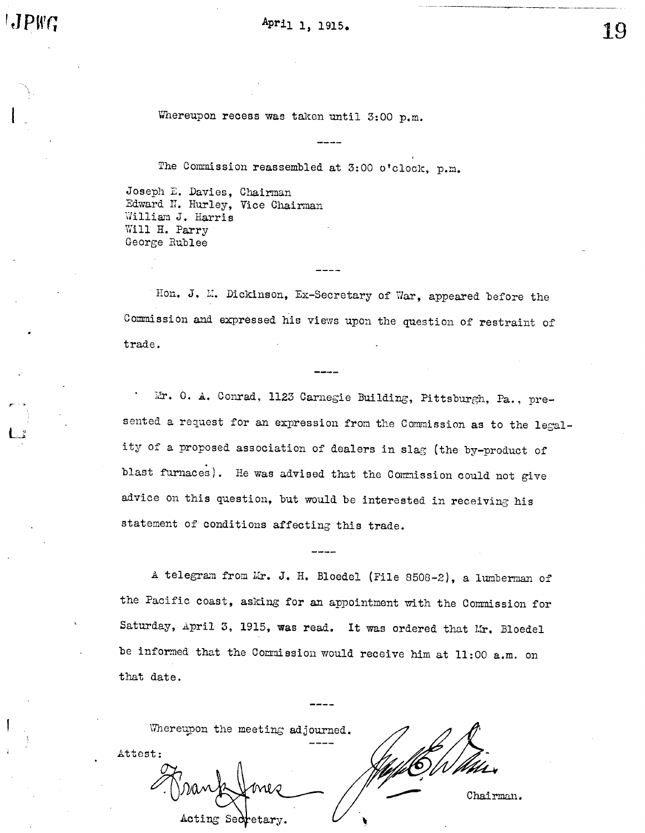April 1, 1915.

19

Whereupon recess was taken until  $3:00$  p.m.

The Commission reassembled at 3:00 o'clock, p.m.

Joseph E. Davies, Chairman Edward N. Hurley, Vice Chairman William J. Harris Will H. Parry George Rublee

Hon. J. M. Dickinson, Ex-Secretary of War, appeared before the Commission and expressed his views upon the question of restraint of trade.

Mr. O. A. Conrad, 1123 Carnegie Building, Pittsburgh, Pa., presented a request for an expression from the Commission as to the legality of a proposed association of dealers in slag (the by-product of blast furnaces). He was advised that the Commission could not give advice on this question, but would be interested in receiving his statement of conditions affecting this trade.

A telegram from Mr. J. H. Bloedel (File 8508-2), a lumberman of the Pacific coast, asking for an appointment with the Commission for Saturday, April 3, 1915, was read. It was ordered that Mr. Bloedel be informed that the Commission would receive him at  $11:00$  a.m. on that date.

|         | Whereupon the meeting adjourned. |                   |  |  |         |
|---------|----------------------------------|-------------------|--|--|---------|
| Attest: |                                  |                   |  |  |         |
|         |                                  |                   |  |  | Chairma |
|         |                                  | Acting Secretary. |  |  |         |

Charman.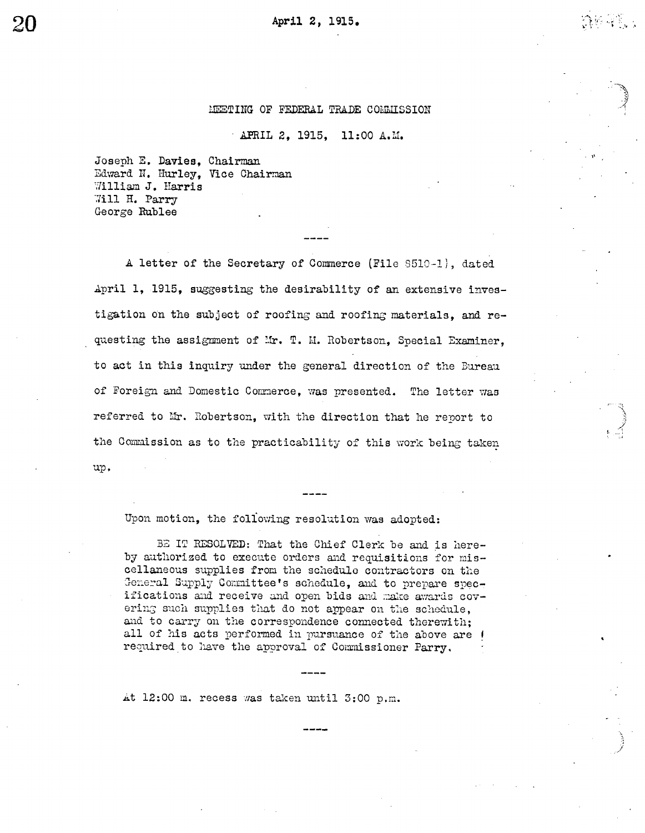APRIL 2, 1915, 11:00 A.M.

Joseph E. Davies, Chairman Edward N. Hurley, Vice Chairman William J. Harris Will H. Parry George Rublee

A letter of the Secretary of Commerce (File 8510-1), dated April 1, 1915, suggesting the desirability of an extensive investigation on the subject of roofing and roofing materials, and requesting the assignment of Mr. T. M. Robertson, Special Examiner, to act in this inquiry under the general direction of the Bureau of Foreign and Domestic Commerce, was presented. The letter was referred to Mr. Robertson, with the direction that he report to the Commission as to the practicability of this work being taken up.

Upon motion, the following resolution was adopted:

BE IT RESOLVED: That the Chief Clerk be and is hereby authorized to execute orders and requisitions for miscellaneous supplies from the schedule contractors on the General Supply Committee's schedule, and to prepare specifications and receive and open bids and make awards covering such supplies that do not appear on the schedule, and to carry on the correspondence connected therewith; all of his acts performed in pursuance of the above are I required to have the approval of Commissioner Parry.

At 12:00 m. recess was taken until 3:00 p.m.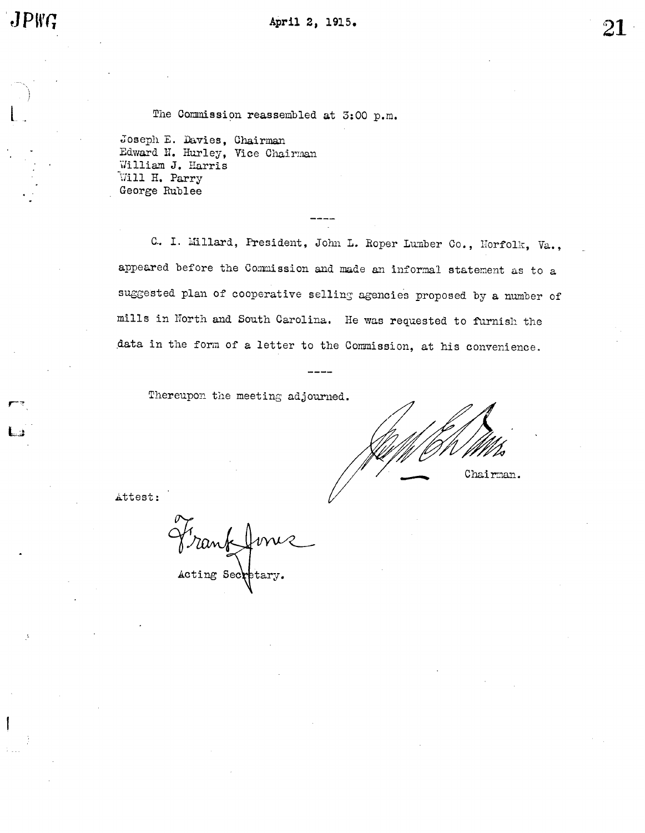r z

The Commission reassembled at  $5:00$  p.m.

Joseph E. Davies, Chairman Edward N. Hurley, Vice Chairman illiam J. Harris Will H. Parry George Rublee

C. I. Millard, President, John L. Roper Lumber Co., Horfolk, Va., appeared before the Commission and made an informal statement as to a mills in North and South Carolina. He was requested to furnish the suggested plan of cooperative selling agencies proposed by a number of data in the form of a letter to the Commission, at his convenience.

Thereupon the meeting adjourned.

Chairman.

Attest:

anf Acting Sec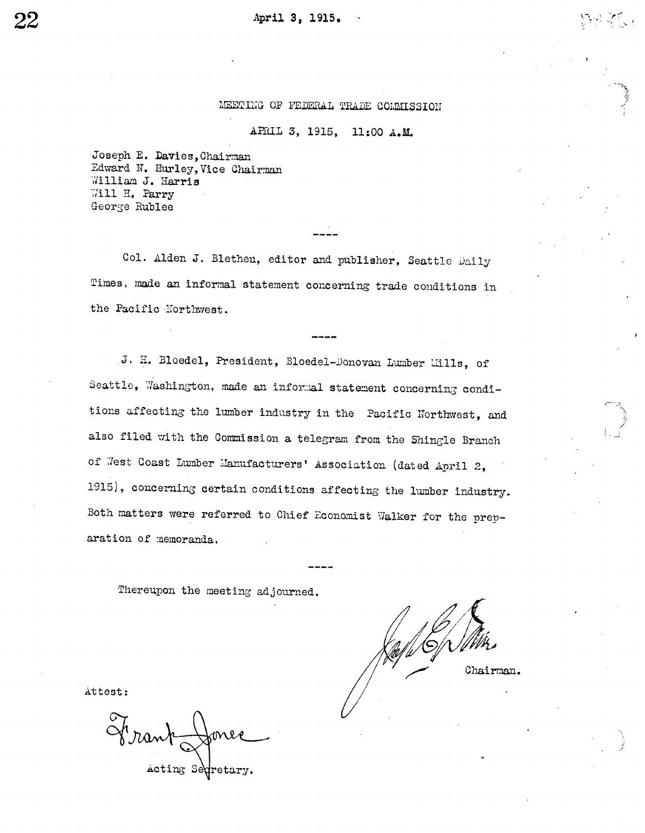# APRIL 3, 1915, 11:00 A.M.

Joseph E. Davies, Chairman Edward N. Hurley, Vice Chairman William J. Harris Will H. Parry George Rublee

Col. Alden J. Blethen, editor and publisher, Seattle Daily Times, made an informal statement concerning trade conditions in the Pacific Northwest.

J. H. Bloedel, President, Bloedel-Donovan Lumber Lills, of Seattle, Washington, made an informal statement concerning conditions affecting the lumber industry in the Pacific Northwest, and also filed with the Commission a telegram from the Shingle Branch of West Coast Lumber Manufacturers' Association (dated April 2, 1915), concerning certain conditions affecting the lumber industry. Both matters were referred to Chief Economist Walker for the preparation of memoranda.

Thereupon the meeting adjourned.

Chairman.

Attest:

Acting Seqretary.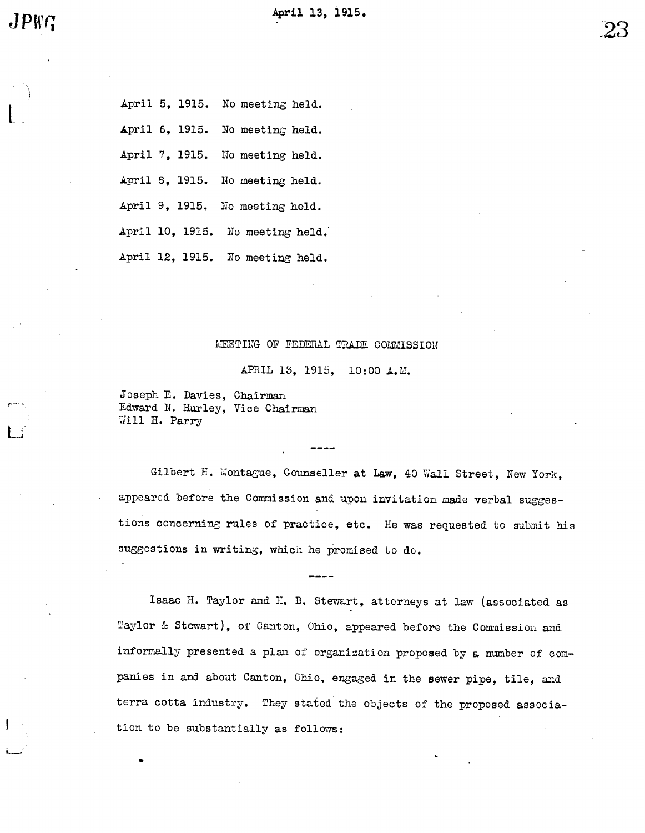$\mathbf{l}$ 

April 5, 1915. No meeting held. April 6, 1915. No meeting held. April 7, 1915. No meeting held. April 8, 1915. No meeting held. April 9, 1915. No meeting held. April 10, 1915. No meeting held. April 12, 1915. No meeting held.

## MEETING OF FEDERAL TRADE COLMISSION

APRIL 13, 1915, 10:00 A.M.

Joseph E. Davies, Chairman Edward N. Hurley, Vice Chairman<br>Will H. Parry

Gilbert H. Montague, Counseller at Law, 40 Wall Street, New York, appeared before the Commission and upon invitation made verbal suggestions concerning rules of practice, etc. He was requested to submit his suggestions in writing, which he promised to do.

Isaac H. Taylor and H. B. Stewart, attorneys at law (associated as Taylor & Stewart), of Canton, Ohio, appeared before the Commission and informally presented a plan of organization proposed by a number of companies in and about Canton, Ohio, engaged in the sewer pipe, tile, and terra cotta industry. They stated the objects of the proposed association to be gubstantially as follows: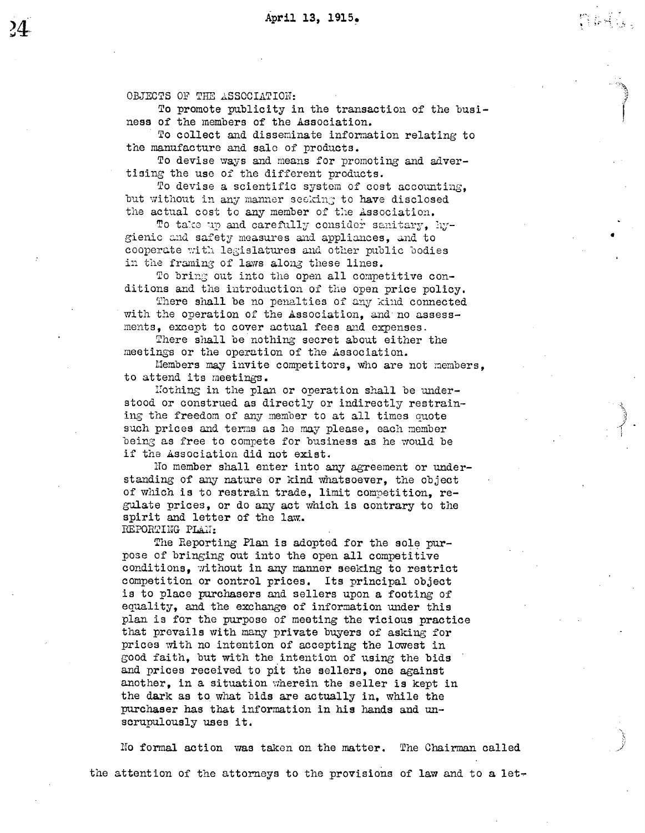naga,

OBJECTS OF THE ASSOCIATION:

To promote publicity in the transaction of the business of the members of the Association.

To collect and disseminate information relating to the manufacture and sale of products.

To devise ways and means for promoting and advertising the use of the different products.

To devise a scientific system of cost accounting, but without in any manner seeking to have disclosed the actual cost to any member of the Association.

To take up and carefully consider sanitary, hygienic and safety measures and appliances, and to cooperate with legislatures and other public bodies in the framing of laws along these lines.

To bring out into the open all competitive conditions and the introduction of the open price policy.

There shall be no penalties of any kind connected with the operation of the Association, and no assessments, except to cover actual fees and expenses.

There shall be nothing secret about either the meetings or the operation of the Association.

Members may invite competitors, who are not members. to attend its meetings.

Nothing in the plan or operation shall be understood or construed as directly or indirectly restraining the freedom of any member to at all times quote such prices and terms as he may please, each member being as free to compete for business as he would be if the Association did not exist.

No member shall enter into any agreement or understanding of any nature or kind whatsoever, the object of which is to restrain trade, limit competition, regulate prices, or do any act which is contrary to the spirit and letter of the law. REPORTING PLAN:

The Reporting Plan is adopted for the sole purpose of bringing out into the open all competitive conditions, without in any manner seeking to restrict competition or control prices. Its principal object is to place purchasers and sellers upon a footing of equality, and the exchange of information under this plan is for the purpose of meeting the vicious practice that prevails with many private buyers of asking for prices with no intention of accepting the lowest in good faith, but with the intention of using the bids and prices received to pit the sellers, one against another, in a situation wherein the seller is kept in the dark as to what bids are actually in, while the purchaser has that information in his hands and unscrupulously uses it.

No formal action was taken on the matter. The Chairman called the attention of the attorneys to the provisions of law and to a let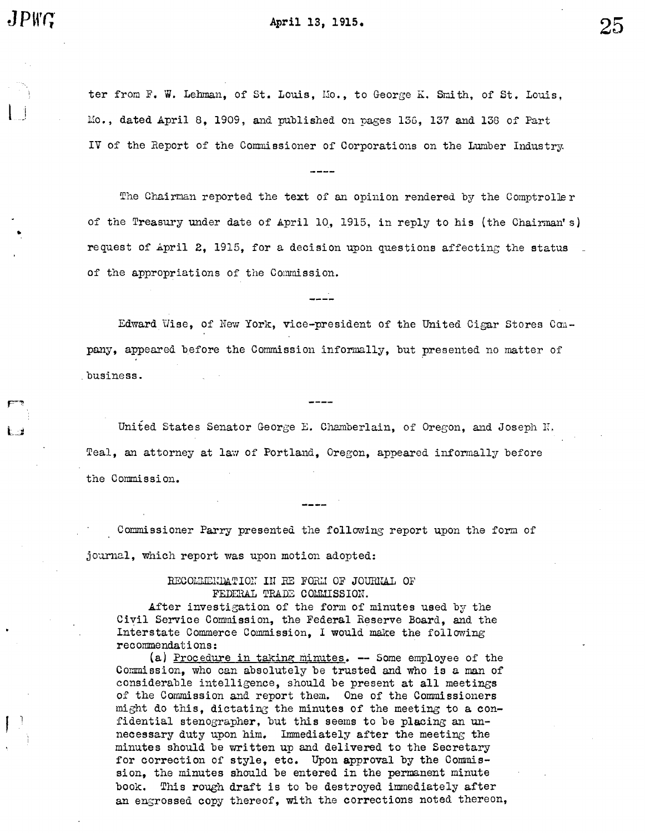$\lfloor \rfloor$ 

April 13, 1915.

ter from F. W. Lehman, of St. Louis, Mo., to George K. Smith, of St. Louis. Mo., dated April 8, 1909, and published on pages 136, 137 and 138 of Part IV of the Report of the Commissioner of Corporations on the Lumber Industry.

The Chairman reported the text of an opinion rendered by the Comptroller of the Treasury under date of April 10, 1915, in reply to his (the Chairman's) request of April 2, 1915, for a decision upon questions affecting the status of the appropriations of the Commission.

Edward Wise, of New York, vice-president of the United Cigar Stores Company, appeared before the Commission informally, but presented no matter of . business.

United States Senator George E. Chamberlain, of Oregon, and Joseph N. Teal, an attorney at law of Portland, Oregon, appeared informally before the Commission.

Commissioner Parry presented the following report upon the form of journal, which report was upon motion adopted:

> RECOMMENDATION IN RE FORM OF JOURNAL OF FEDERAL TRADE COMMISSION.

After investigation of the form of minutes used by the Civil Service Commission, the Federal Reserve Board, and the Interstate Commerce Commission, I would make the following recommendations:

(a) Procedure in taking minutes.  $-$  Some employee of the Commission, who can absolutely be trusted and who is a man of considerable intelligence, should be present at all meetings of the Commission and report them. One of the Commissioners might do this, dictating the minutes of the meeting to a confidential stenographer, but this seems to be placing an unnecessary duty upon him. Imediately after the meeting the minutes should be written up and delivered to the Secretary for correction of style, etc. Upon approval by the Commission, the minutes should be entered in the permanent minute book. This rough draft is to be destroyed immediately after an engrossed copy thereof, with the corrections noted thereon,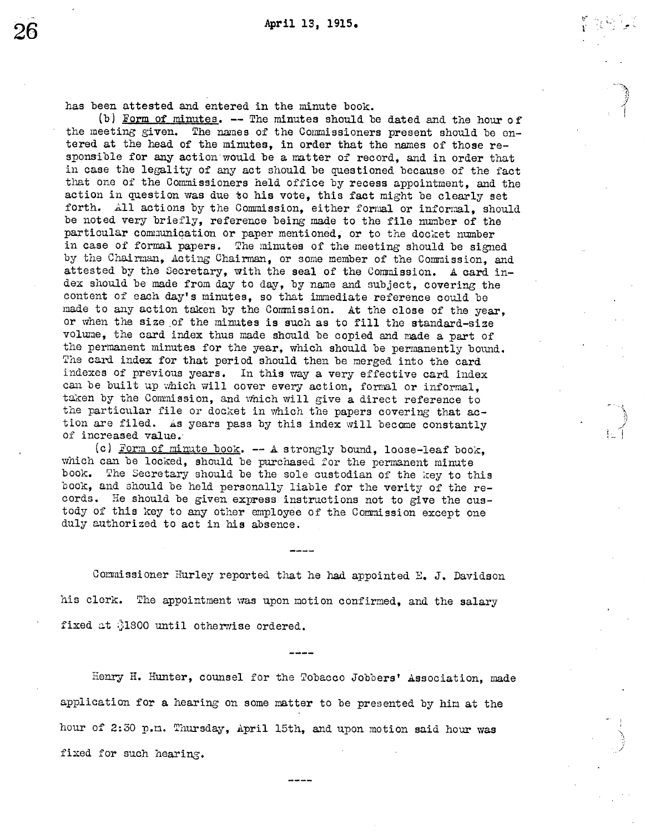$\mu$  .

::J

has been attested and entered in the minute book.

(b) Form of minutes. -- The minutes should be dated and the hour of the meeting given. The names of the Commissioners present should be entered at the head of the minutes, in order that the names of those responsible for any action would be a matter of record, and in order that in case the legality of any act should be questioned because of the fact that one of the Commissioners held office by recess appointment, and the action in question was due to his vote, this fact might be clearly set forth. All actions by the Commission, either formal or informal, should be noted very briefly, reference being made to the file number of the particular communication or paper mentioned, or to the docket number in case of formal papers. The minutes of the meeting should be signed by the Chairman, Acting Chairman, or some member of the Commission, and attested by the Secretary, with the seal of the Commission. A card index should be made from day to day, by name and subject, covering the content of each day's minutes, so that immediate reference could be made to any action taken by the Commission. At the close of the year, or when the size of the minutes is such as to fill the standard-size volume, the card index thus made should be copied and made a part of the permanent minutes for the year, which should be permanently bound. The card index for that period should then be merged into the card indexes of previous years. In this way a very effective card index can be built up which will cover every action, formal or informal, taken by the Comnission, and which will give a direct reference to the particular file or docket in which the papers covering that action are filed. As years pass by this index will become constantly of increased value.

(c) Form of minute book.  $-$  A strongly bound, loose-leaf book which can be locked, should be purchased for the permanent minute book. The Secretary should be the sole custodian of the key to this book, and should be held personally liable for the verity of the records. He should be given express instructions not to give the custody of this key to any other employee of the Commission except one duly authorized to act in his absence.

Commissioner Hurley reported that he had appointed E. J. Davidson his clerk. The appointment was upon motion confirmed, and the salary fixed at \$1800 until otherwise ordered.

Henry H. Hunter, counsel for the Tobacco Jobbers' Association, made application for a hearing on some matter to be presented by him at the hour of 2:30 p.m. Thursday, April 15th, and upon motion said hour was fixed for such hearing.